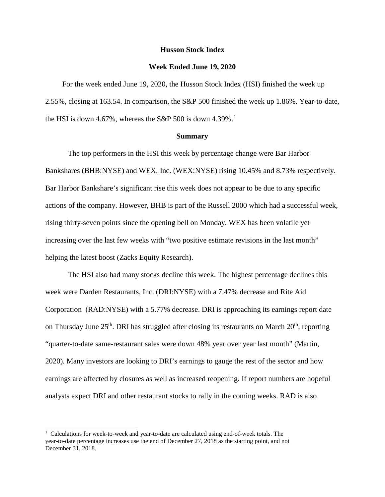### **Husson Stock Index**

#### **Week Ended June 19, 2020**

For the week ended June 19, 2020, the Husson Stock Index (HSI) finished the week up 2.55%, closing at 163.54. In comparison, the S&P 500 finished the week up 1.86%. Year-to-date, the HSI is down 4.67%, whereas the S&P 500 is down 4.39%.<sup>[1](#page-0-0)</sup>

## **Summary**

The top performers in the HSI this week by percentage change were Bar Harbor Bankshares (BHB:NYSE) and WEX, Inc. (WEX:NYSE) rising 10.45% and 8.73% respectively. Bar Harbor Bankshare's significant rise this week does not appear to be due to any specific actions of the company. However, BHB is part of the Russell 2000 which had a successful week, rising thirty-seven points since the opening bell on Monday. WEX has been volatile yet increasing over the last few weeks with "two positive estimate revisions in the last month" helping the latest boost (Zacks Equity Research).

The HSI also had many stocks decline this week. The highest percentage declines this week were Darden Restaurants, Inc. (DRI:NYSE) with a 7.47% decrease and Rite Aid Corporation (RAD:NYSE) with a 5.77% decrease. DRI is approaching its earnings report date on Thursday June  $25<sup>th</sup>$ . DRI has struggled after closing its restaurants on March  $20<sup>th</sup>$ , reporting "quarter-to-date same-restaurant sales were down 48% year over year last month" (Martin, 2020). Many investors are looking to DRI's earnings to gauge the rest of the sector and how earnings are affected by closures as well as increased reopening. If report numbers are hopeful analysts expect DRI and other restaurant stocks to rally in the coming weeks. RAD is also

 $\overline{a}$ 

<span id="page-0-0"></span><sup>&</sup>lt;sup>1</sup> Calculations for week-to-week and year-to-date are calculated using end-of-week totals. The year-to-date percentage increases use the end of December 27, 2018 as the starting point, and not December 31, 2018.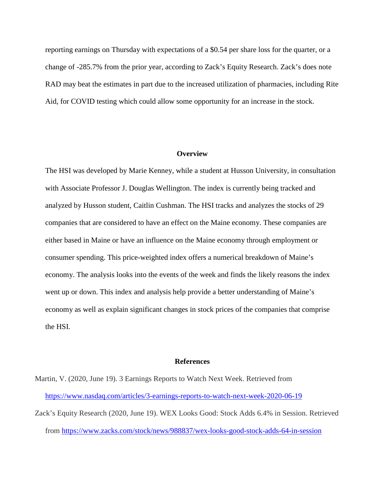reporting earnings on Thursday with expectations of a \$0.54 per share loss for the quarter, or a change of -285.7% from the prior year, according to Zack's Equity Research. Zack's does note RAD may beat the estimates in part due to the increased utilization of pharmacies, including Rite Aid, for COVID testing which could allow some opportunity for an increase in the stock.

#### **Overview**

The HSI was developed by Marie Kenney, while a student at Husson University, in consultation with Associate Professor J. Douglas Wellington. The index is currently being tracked and analyzed by Husson student, Caitlin Cushman. The HSI tracks and analyzes the stocks of 29 companies that are considered to have an effect on the Maine economy. These companies are either based in Maine or have an influence on the Maine economy through employment or consumer spending. This price-weighted index offers a numerical breakdown of Maine's economy. The analysis looks into the events of the week and finds the likely reasons the index went up or down. This index and analysis help provide a better understanding of Maine's economy as well as explain significant changes in stock prices of the companies that comprise the HSI.

#### **References**

Martin, V. (2020, June 19). 3 Earnings Reports to Watch Next Week. Retrieved from <https://www.nasdaq.com/articles/3-earnings-reports-to-watch-next-week-2020-06-19> Zack's Equity Research (2020, June 19). WEX Looks Good: Stock Adds 6.4% in Session. Retrieved from<https://www.zacks.com/stock/news/988837/wex-looks-good-stock-adds-64-in-session>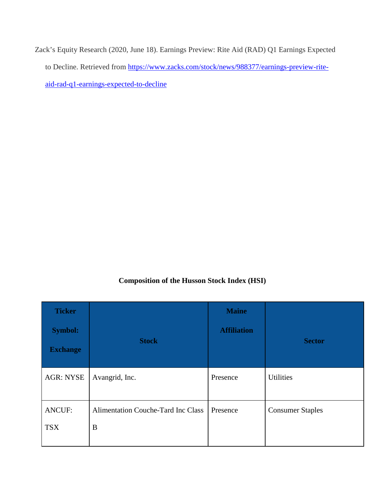Zack's Equity Research (2020, June 18). Earnings Preview: Rite Aid (RAD) Q1 Earnings Expected to Decline. Retrieved from [https://www.zacks.com/stock/news/988377/earnings-preview-rite](https://www.zacks.com/stock/news/988377/earnings-preview-rite-aid-rad-q1-earnings-expected-to-decline)[aid-rad-q1-earnings-expected-to-decline](https://www.zacks.com/stock/news/988377/earnings-preview-rite-aid-rad-q1-earnings-expected-to-decline)

# **Composition of the Husson Stock Index (HSI)**

| <b>Ticker</b><br><b>Symbol:</b><br><b>Exchange</b> | <b>Stock</b>                                   | <b>Maine</b><br><b>Affiliation</b> | <b>Sector</b>           |
|----------------------------------------------------|------------------------------------------------|------------------------------------|-------------------------|
| <b>AGR: NYSE</b>                                   | Avangrid, Inc.                                 | Presence                           | <b>Utilities</b>        |
| <b>ANCUF:</b><br><b>TSX</b>                        | <b>Alimentation Couche-Tard Inc Class</b><br>B | Presence                           | <b>Consumer Staples</b> |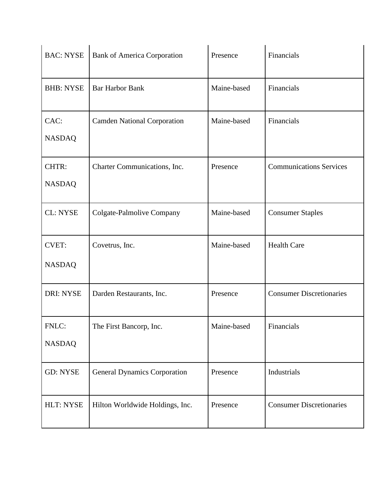| <b>BAC: NYSE</b>              | <b>Bank of America Corporation</b>  | Presence    | Financials                      |
|-------------------------------|-------------------------------------|-------------|---------------------------------|
| <b>BHB: NYSE</b>              | <b>Bar Harbor Bank</b>              | Maine-based | Financials                      |
| CAC:<br><b>NASDAQ</b>         | <b>Camden National Corporation</b>  | Maine-based | Financials                      |
| CHTR:<br><b>NASDAQ</b>        | Charter Communications, Inc.        | Presence    | <b>Communications Services</b>  |
| <b>CL: NYSE</b>               | Colgate-Palmolive Company           | Maine-based | <b>Consumer Staples</b>         |
| <b>CVET:</b><br><b>NASDAQ</b> | Covetrus, Inc.                      | Maine-based | <b>Health Care</b>              |
| <b>DRI: NYSE</b>              | Darden Restaurants, Inc.            | Presence    | <b>Consumer Discretionaries</b> |
| FNLC:<br><b>NASDAQ</b>        | The First Bancorp, Inc.             | Maine-based | Financials                      |
| <b>GD: NYSE</b>               | <b>General Dynamics Corporation</b> | Presence    | Industrials                     |
| HLT: NYSE                     | Hilton Worldwide Holdings, Inc.     | Presence    | <b>Consumer Discretionaries</b> |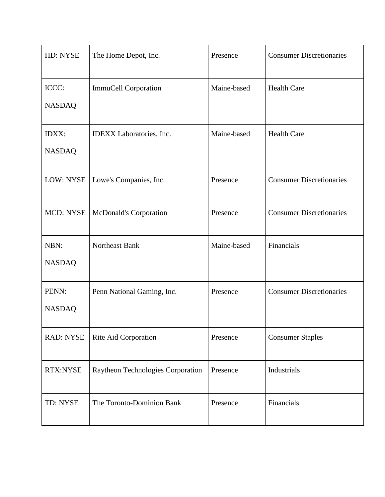| HD: NYSE                      | The Home Depot, Inc.              | Presence    | <b>Consumer Discretionaries</b> |
|-------------------------------|-----------------------------------|-------------|---------------------------------|
| ICCC:<br><b>NASDAQ</b>        | ImmuCell Corporation              | Maine-based | <b>Health Care</b>              |
| <b>IDXX:</b><br><b>NASDAQ</b> | IDEXX Laboratories, Inc.          | Maine-based | <b>Health Care</b>              |
| LOW: NYSE                     | Lowe's Companies, Inc.            | Presence    | <b>Consumer Discretionaries</b> |
| <b>MCD: NYSE</b>              | McDonald's Corporation            | Presence    | <b>Consumer Discretionaries</b> |
| NBN:<br><b>NASDAQ</b>         | Northeast Bank                    | Maine-based | Financials                      |
| PENN:<br><b>NASDAQ</b>        | Penn National Gaming, Inc.        | Presence    | <b>Consumer Discretionaries</b> |
| <b>RAD: NYSE</b>              | Rite Aid Corporation              | Presence    | <b>Consumer Staples</b>         |
| RTX:NYSE                      | Raytheon Technologies Corporation | Presence    | Industrials                     |
| TD: NYSE                      | The Toronto-Dominion Bank         | Presence    | Financials                      |